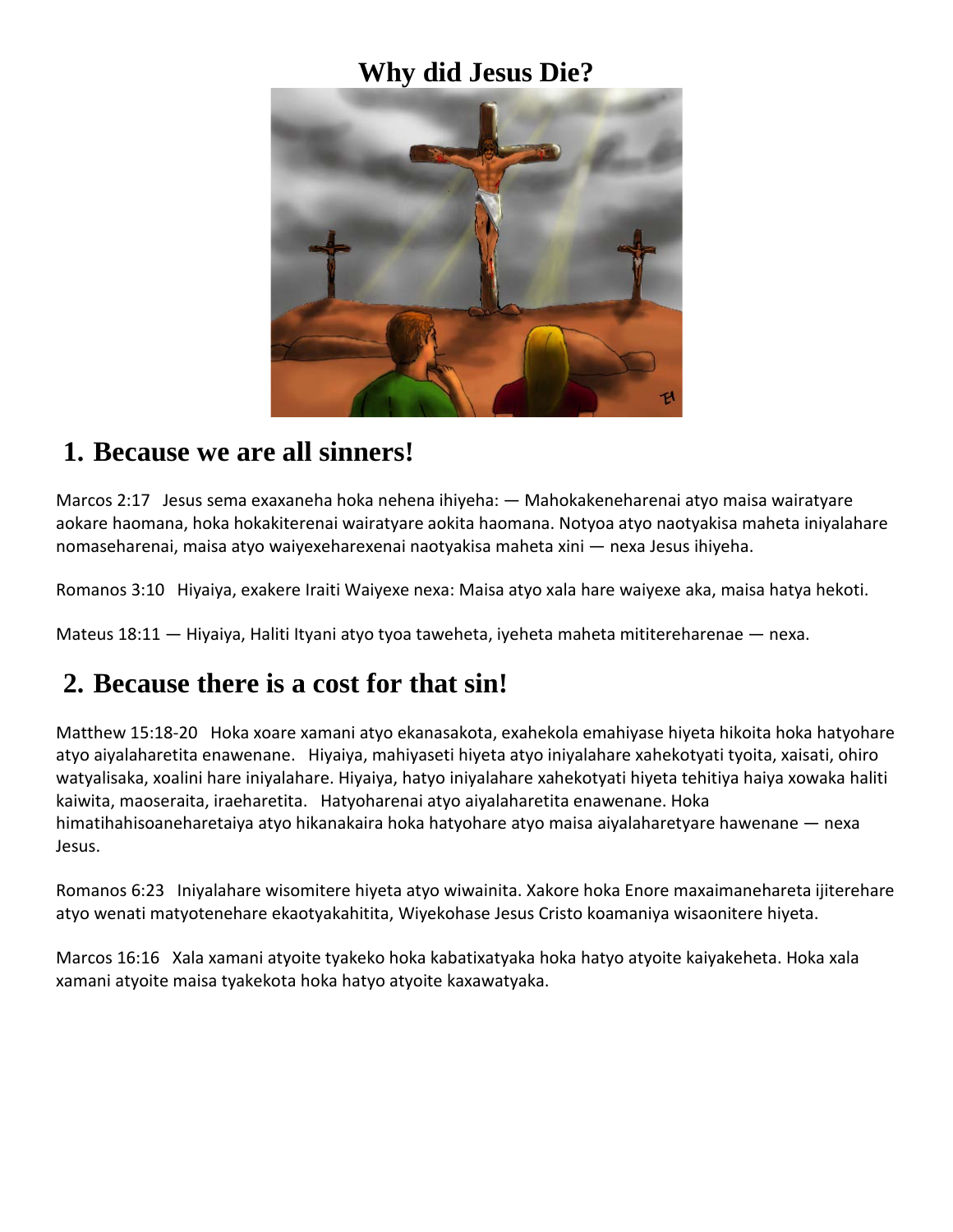### **Why did Jesus Die?**



#### **1. Because we are all sinners!**

Marcos 2:17 Jesus sema exaxaneha hoka nehena ihiyeha: — Mahokakeneharenai atyo maisa wairatyare aokare haomana, hoka hokakiterenai wairatyare aokita haomana. Notyoa atyo naotyakisa maheta iniyalahare nomaseharenai, maisa atyo waiyexeharexenai naotyakisa maheta xini — nexa Jesus ihiyeha.

Romanos 3:10 Hiyaiya, exakere Iraiti Waiyexe nexa: Maisa atyo xala hare waiyexe aka, maisa hatya hekoti.

Mateus 18:11 — Hiyaiya, Haliti Ityani atyo tyoa taweheta, iyeheta maheta mititereharenae — nexa.

## **2. Because there is a cost for that sin!**

Matthew 15:18-20 Hoka xoare xamani atyo ekanasakota, exahekola emahiyase hiyeta hikoita hoka hatyohare atyo aiyalaharetita enawenane. Hiyaiya, mahiyaseti hiyeta atyo iniyalahare xahekotyati tyoita, xaisati, ohiro watyalisaka, xoalini hare iniyalahare. Hiyaiya, hatyo iniyalahare xahekotyati hiyeta tehitiya haiya xowaka haliti kaiwita, maoseraita, iraeharetita. Hatyoharenai atyo aiyalaharetita enawenane. Hoka himatihahisoaneharetaiya atyo hikanakaira hoka hatyohare atyo maisa aiyalaharetyare hawenane — nexa Jesus.

Romanos 6:23 Iniyalahare wisomitere hiyeta atyo wiwainita. Xakore hoka Enore maxaimanehareta ijiterehare atyo wenati matyotenehare ekaotyakahitita, Wiyekohase Jesus Cristo koamaniya wisaonitere hiyeta.

Marcos 16:16 Xala xamani atyoite tyakeko hoka kabatixatyaka hoka hatyo atyoite kaiyakeheta. Hoka xala xamani atyoite maisa tyakekota hoka hatyo atyoite kaxawatyaka.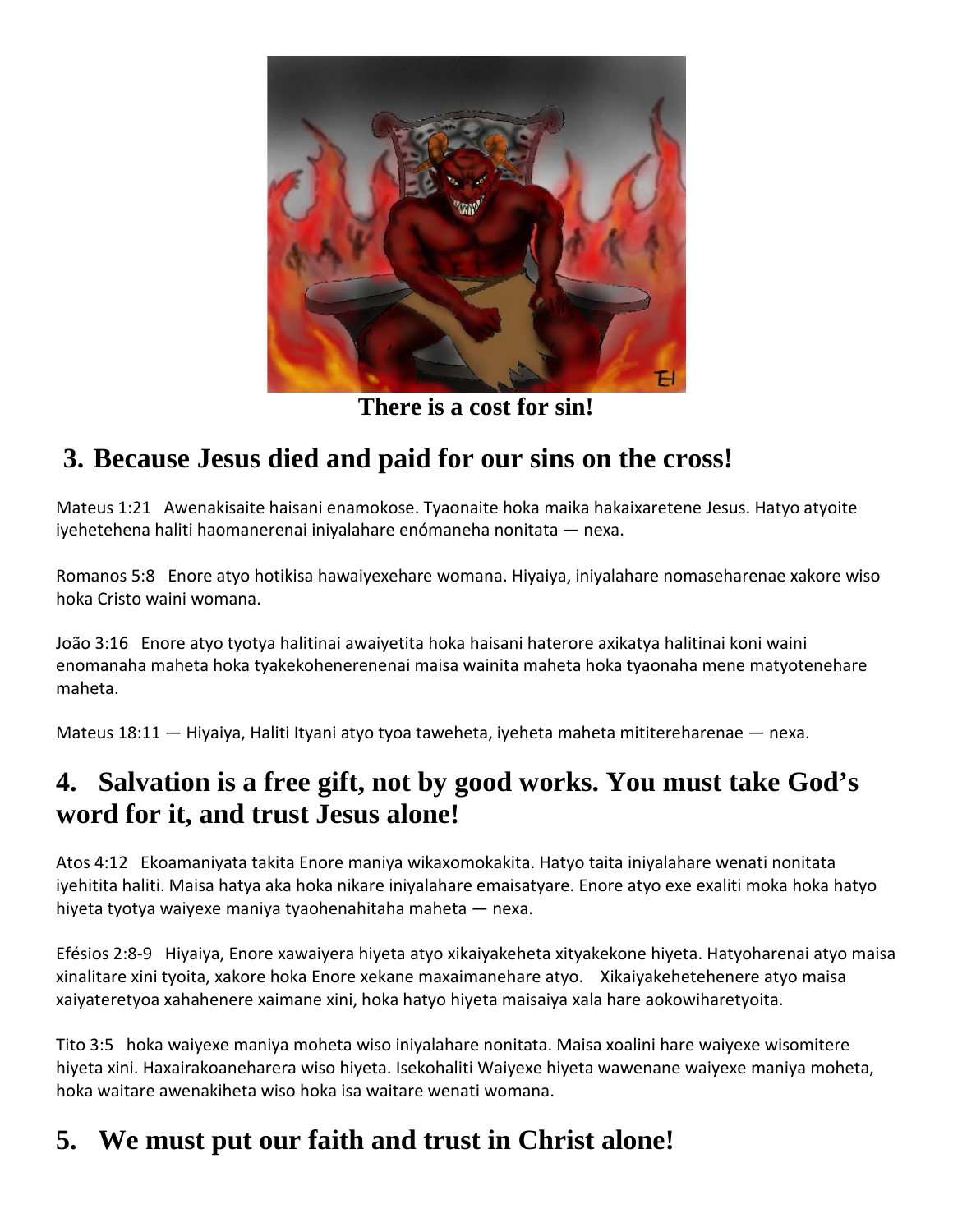

**There is a cost for sin!**

# **3. Because Jesus died and paid for our sins on the cross!**

Mateus 1:21 Awenakisaite haisani enamokose. Tyaonaite hoka maika hakaixaretene Jesus. Hatyo atyoite iyehetehena haliti haomanerenai iniyalahare enómaneha nonitata — nexa.

Romanos 5:8 Enore atyo hotikisa hawaiyexehare womana. Hiyaiya, iniyalahare nomaseharenae xakore wiso hoka Cristo waini womana.

João 3:16 Enore atyo tyotya halitinai awaiyetita hoka haisani haterore axikatya halitinai koni waini enomanaha maheta hoka tyakekohenerenenai maisa wainita maheta hoka tyaonaha mene matyotenehare maheta.

Mateus 18:11 — Hiyaiya, Haliti Ityani atyo tyoa taweheta, iyeheta maheta mititereharenae — nexa.

## **4. Salvation is a free gift, not by good works. You must take God's word for it, and trust Jesus alone!**

Atos 4:12 Ekoamaniyata takita Enore maniya wikaxomokakita. Hatyo taita iniyalahare wenati nonitata iyehitita haliti. Maisa hatya aka hoka nikare iniyalahare emaisatyare. Enore atyo exe exaliti moka hoka hatyo hiyeta tyotya waiyexe maniya tyaohenahitaha maheta — nexa.

Efésios 2:8-9 Hiyaiya, Enore xawaiyera hiyeta atyo xikaiyakeheta xityakekone hiyeta. Hatyoharenai atyo maisa xinalitare xini tyoita, xakore hoka Enore xekane maxaimanehare atyo. Xikaiyakehetehenere atyo maisa xaiyateretyoa xahahenere xaimane xini, hoka hatyo hiyeta maisaiya xala hare aokowiharetyoita.

Tito 3:5 hoka waiyexe maniya moheta wiso iniyalahare nonitata. Maisa xoalini hare waiyexe wisomitere hiyeta xini. Haxairakoaneharera wiso hiyeta. Isekohaliti Waiyexe hiyeta wawenane waiyexe maniya moheta, hoka waitare awenakiheta wiso hoka isa waitare wenati womana.

## **5. We must put our faith and trust in Christ alone!**